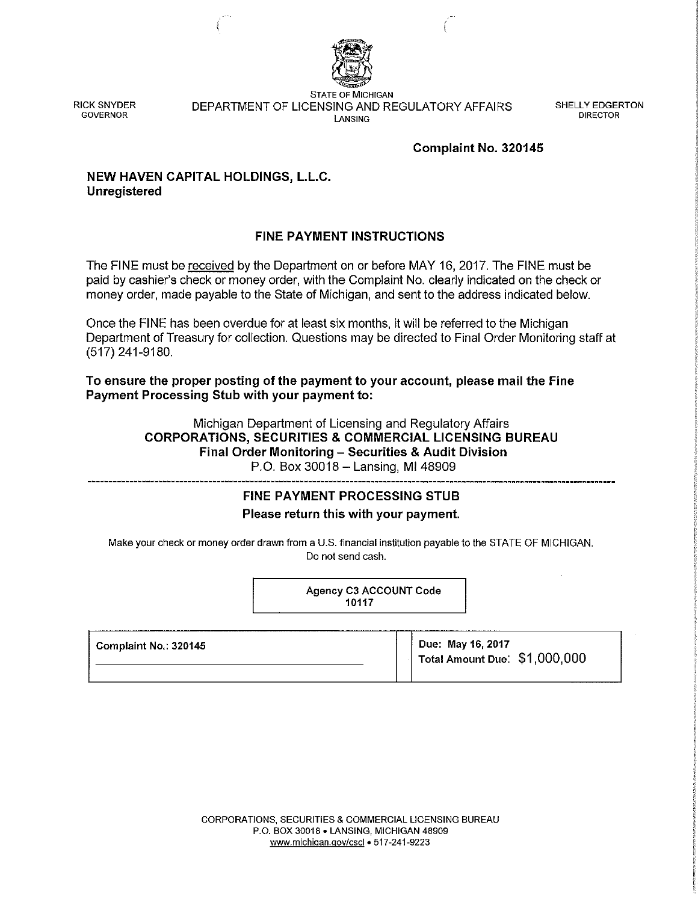

RICK SNYDER **GOVERNOR** 

**STATE OF MICHIGAN**  DEPARTMENT OF LICENSING AND REGULATORY AFFAIRS **LANSING** 

SHELLY EDGERTON DIRECTOR

## **Complaint No. 320145**

# **NEW HAVEN CAPITAL HOLDINGS, L.L.C. Unregistered**

# **FINE PAYMENT INSTRUCTIONS**

The FINE must be received by the Department on or before MAY 16, 2017. The FINE must be paid by cashier's check or money order, with the Complaint No. clearly indicated on the check or money order, made payable to the State of Michigan, and sent to the address indicated below.

Once the FINE has been overdue for at least six months, it will be referred to the Michigan Department of Treasury for collection. Questions may be directed to Final Order Monitoring staff at (517) 241-9180.

**To ensure the proper posting of the payment to your account, please mail the Fine Payment Processing Stub with your payment to:** 

> Michigan Department of Licensing and Regulatory Affairs **CORPORATIONS, SECURITIES & COMMERCIAL LICENSING BUREAU Final Order Monitoring - Securities & Audit Division**  P.O. Box 30018 - Lansing, MI 48909

# **FINE PAYMENT PROCESSING STUB Please return this with your payment.**

Make your check or money order drawn from a U.S. financial institution payable to the STATE OF MICHIGAN. Do not send cash.

> Agency C3 ACCOUNT Code 10117

| Complaint No.: 320145 | Due: May 16, 2017<br>Total Amount Due: \$1,000,000 |
|-----------------------|----------------------------------------------------|
|                       |                                                    |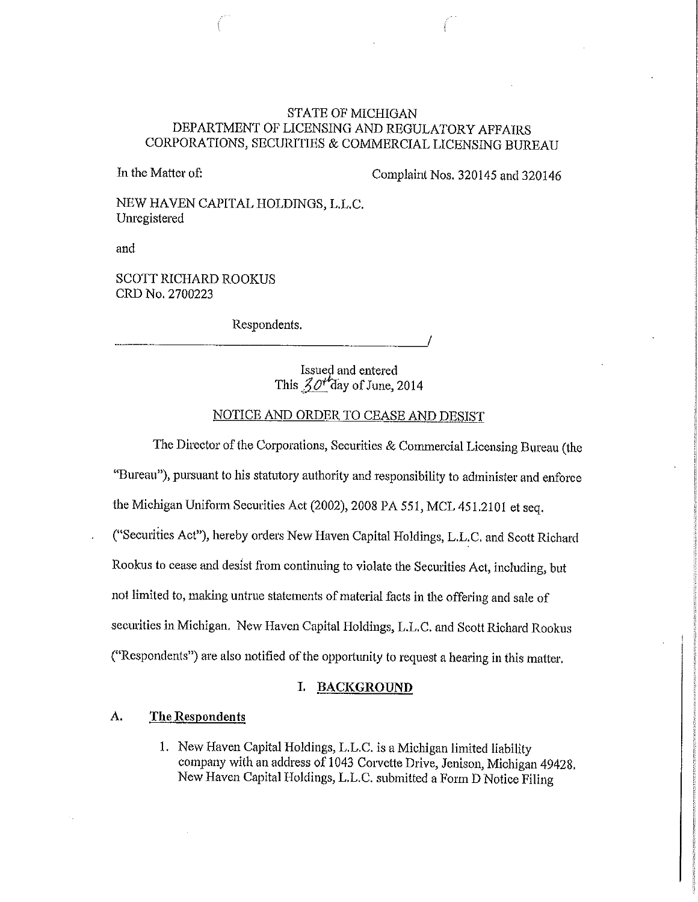## STATE OF MICHIGAN DEPARTMENT OF LICENSING AND REGULATORY AFFAIRS CORPORATIONS, SECURITIES & COMMERCIAL LICENSING BUREAU

In the Matter of: Complaint Nos. 320145 and 320146

NEW HAVEN CAPITAL HOLDINGS, L.L.C. Unregistered

and

SCOTT RICHARD ROOKUS CRD No. 2700223

Respondents.

Issued and entered This  $\mathcal{Z}O^{t}$  day of June, 2014

# NOTICE AND ORDER TO CEASE AND DESIST

The Director of the Corporations, Securities & Commercial Licensing Bureau (the "Bureau"), pursuant to his statutory authority and responsibility to administer and enforce

the Michigan Uniform Securities Act (2002), 2008 PA 551, MCL 451.2101 et seq.

("Securities Act"), hereby orders New Haven Capital Holdings, L.L.C. and Scott Richard

Rookus to cease and desist from continuing to violate the Securities Act, including, but

not limited to, making untrue statements of material facts in the offering and sale of

securities in Michigan. New Haven Capital Holdings, L.L. C. and Scott Richard Rookus

("Respondents") are also notified of the opportunity to request a hearing in this matter.

### **I. BACKGROUND**

#### **A. The Respondents**

1. New Haven Capital Holdings, L.L.C. is a Michigan limited liability company with an address of 1043 Corvette Drive, Jenison, Michigan 49428. New Haven Capital Holdings, L.L.C. submitted a Form D Notice Filing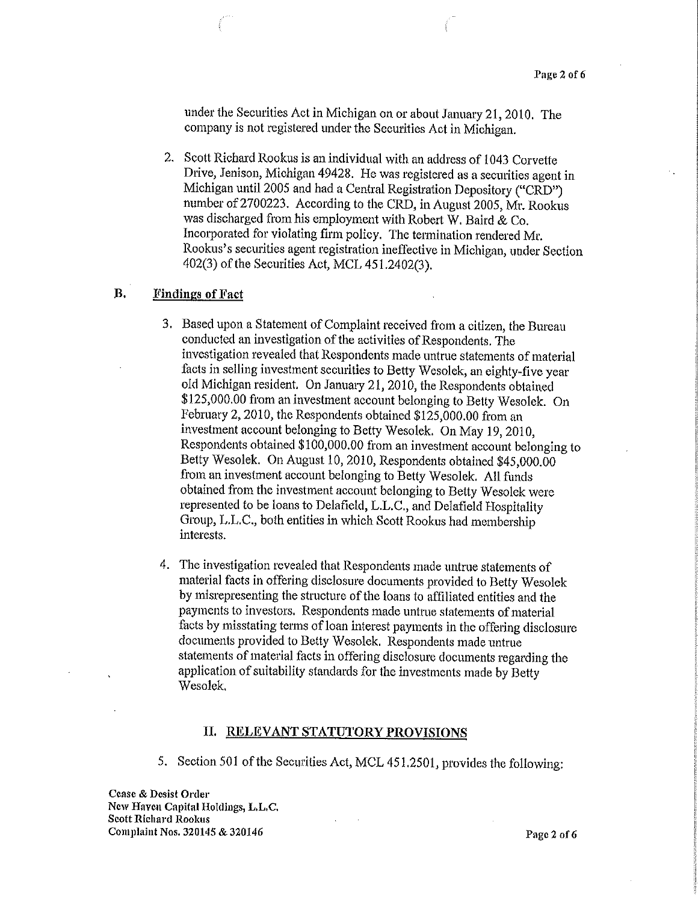under the Securities Act in Michigan on or about January 21, 2010. The company is not registered under the Securities Act in Michigan.

2. Scott Richard Rookus is an individual with an address of 1043 Corvette Drive, Jenison, Michigan 49428. He was registered as a securities agent in Michigan until 2005 and had a Central Registration Depository ("CRD") number of 2700223. According to the CRD, in August 2005, Mr. Rookus was discharged from his employment with Robert W. Baird & Co. Incorporated for violating firm policy. The termination rendered Mr. Rookus's securities agent registration ineffective in Michigan, under Section 402(3) of the Securities Act, MCL 451.2402(3).

## B. Findings of Fact

- 3. Based upon a Statement of Complaint received from a citizen, the Bureau conducted an investigation of the activities of Respondents. The investigation revealed that Respondents made untrue statements of material facts in selling investment securities to Betty Wesolek, an eighty-five year old Michigan resident. On January 21, 2010, the Respondents obtained \$125,000.00 from an investment account belonging to Betty Wesolek. On February 2, 2010, the Respondents obtained \$125,000.00 from an investment account belonging to Betty Wesolek. On May 19, 2010, Respondents obtained \$100,000.00 from an investment account belonging to Betty Wesolek. On August 10, 2010, Respondents obtained \$45,000.00 from an investment account belonging to Betty Wesolek. All funds obtained from the investment account belonging to Betty Wesolek were represented to be loans to Delafield, L.L.C., and Delafield Hospitality Group, L.L.C., both entities in which Scott Rookus had membership interests.
- 4. The investigation revealed that Respondents made untrue statements of material facts in offering disclosure documents provided to Betty Wesolek by misrepresenting the structure of the loans to affiliated entities and the payments to investors. Respondents made untrue statements of material facts by misstating terms of loan interest payments in the offering disclosure documents provided to Betty Wesolek. Respondents made untrue statements of material facts in offering disclosure documents regarding the application of suitability standards for the investments made by Betty Wesolek.

#### II. RELEVANT STATUTORY PROVISIONS

5. Section 501 of the Securities Act, MCL 451.2501, provides the following:

Cease & Desist Order New Haven Capital Holdings, L.L.C. Scott Richard Rookus Complaint Nos. 320145 & 320146 **Page 2** of 6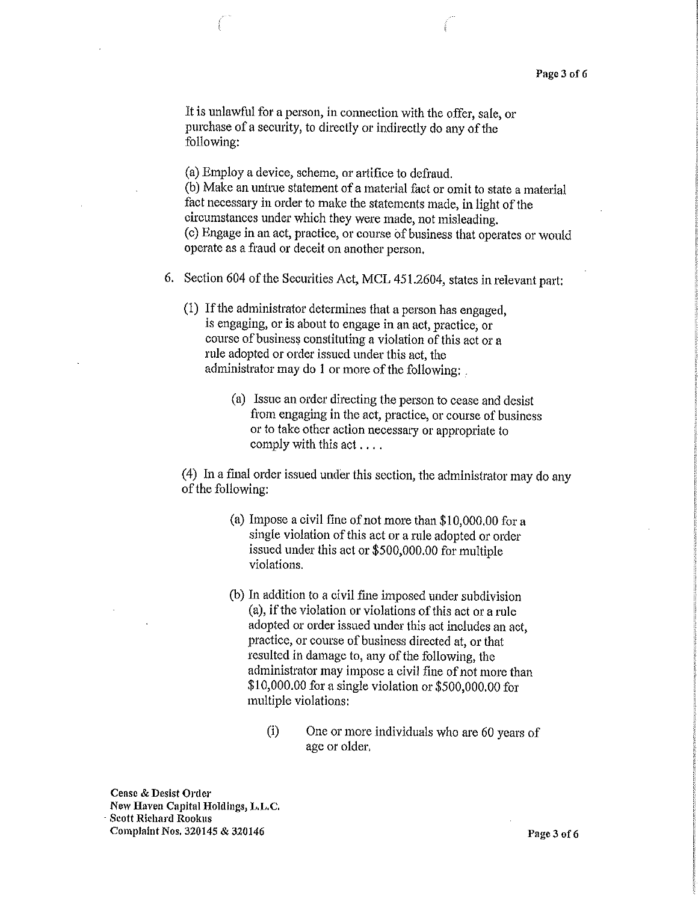It is unlawful for a person, in connection with the offer, sale, or purchase of a security, to directly or indirectly do any of the following:

(a) Employ a device, scheme, or artifice to defraud. (b) Make an untrne statement of a material fact or omit to state a material fact necessary in order to make the statements made, in light of the circumstances under which they were made, not misleading. ( c) Engage in an act, practice, or course of business that operates or would operate as a fraud or deceit on another person.

- 6. Section 604 of the Securities Act, MCL 451.2604, states in relevant part:
	- (1) If the administrator determines that a person has engaged, is engaging, or is about to engage in an act, practice, or course of business constituting a violation of this act or a rule adopted or order issued under this act, the administrator may do 1 or more of the following:
		- (a) Issue an order directing the person to cease and desist from engaging in the act, practice, or course of business or to take other action necessary or appropriate to comply with this act ....

(4) In a fmal order issued under this section, the administrator may do any of the following:

- (a) Impose a civil fine of not more than \$10,000.00 for a single violation of this act or a rule adopted or order issued under this act or \$500,000.00 for multiple violations.
- (b) In addition to a civil fine imposed under subdivision (a), if the violation or violations of this act or a rule adopted or order issued under this act includes an act, practice, or course of business directed at, or that resulted in damage to, any of the following, the administrator may impose a civil fine of not more than \$10,000.00 for a single violation or \$500,000.00 for multiple violations:
	- (i) One or more individuals who are 60 years of age or older.

Cease & Desist Order New Haven Capital Holdings, **L.L.C.**  Scott Richard Rookus Complaint Nos. 320145 & 320146 **Page 3 of 6**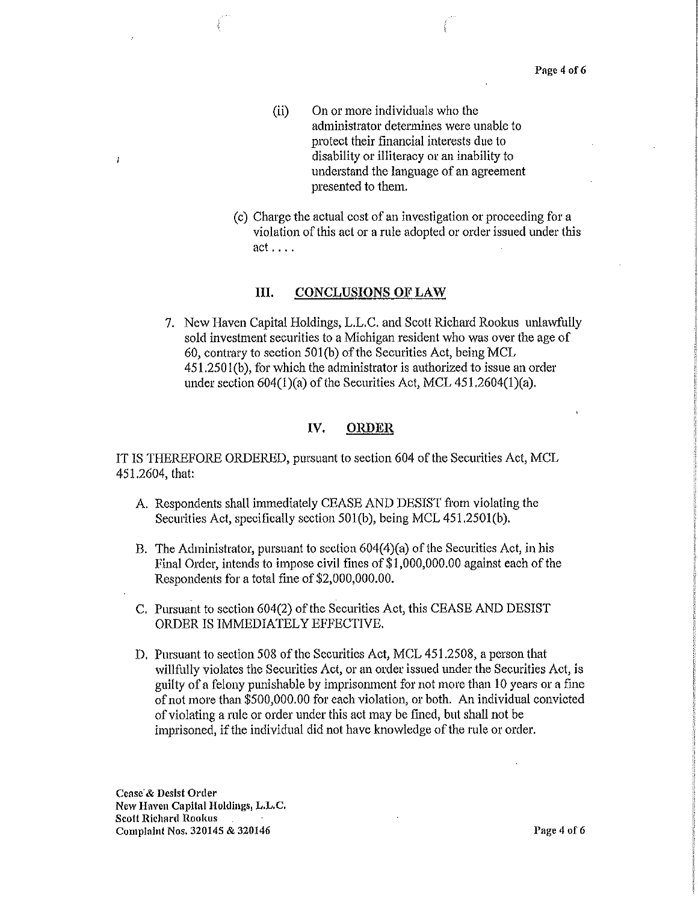- (ii) On or more individuals who the administrator determines were unable to protect their financial interests due to disability or illiteracy or an inability to understand the language of an agreement presented to them.
- (c) Charge the actual cost of an investigation or proceeding for a violation of this act or a rule adopted or order issued under this  $act \ldots$ .

#### III. CONCLUSIONS OF LAW

7. New Haven Capital Holdings, L.L.C. and Scott Richard Rookus unlawfully sold investment securities to a Michigan resident who was over the age of 60, contrary to section 50l(b) of the Securities Act, being MCL 451.2501(b), for which the administrator is authorized to issue an order under section 604(1)(a) of the Securities Act, MCL 451.2604(1)(a).

#### IV. ORDER

IT IS THEREFORE ORDERED, pursuant to section 604 of the Securities Act, MCL 451.2604, that:

- A. Respondents shall immediately CEASE AND DESIST from violating the Securities Act, specifically section 501(b), being MCL 451.250l(b).
- B. The Administrator, pursuant to section 604(4)(a) of the Securities Act, in his Final Order, intends to impose civil fines of \$1,000,000.00 against each of the Respondents for a total fine of \$2,000,000.00.
- C. Pursuant to section 604(2) of the Securities Act, this CEASE AND DESIST ORDER IS IMMEDIATELY EFFECTIVE
- D. Pursuant to section 508 of the Securities Act, MCL 451.2508, a person that willfully violates the Securities Act, or an order issued under the Securities Act, is guilty of a felony punishable by imprisonment for not more than 10 years or a fine of not more than \$500,000.00 for each violation, or both. An individual convicted of violating a rule or order under this act may be fined, but shall not be imprisoned, if the individual did not have knowledge of the rule or order.

Cease & Desist Order New Haven Capital Holdings, L.L.C. Scott Richard Rookus Complaint Nos. 320145 & 320146 **Page 4 of 6** 

 $\mathbf{I}$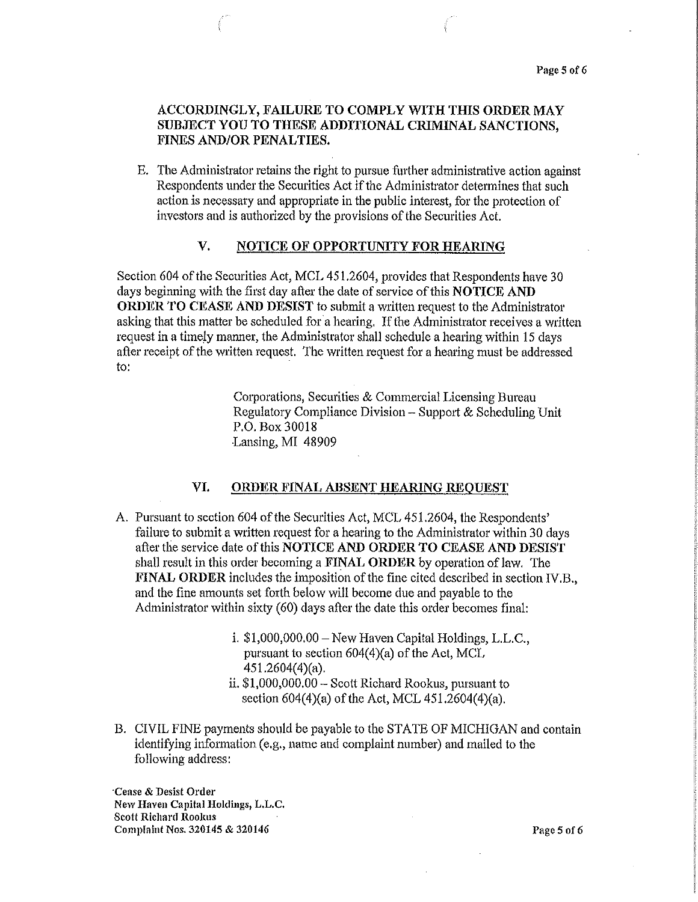## ACCORDINGLY, FAILURE TO COMPLY WITH THIS ORDER MAY SUBJECT YOU TO THESE ADDITIONAL CRIMINAL SANCTIONS, FINES AND/OR PENALTIES.

E. The Administrator retains the right to pursue further administrative action against Respondents under the Securities Act if the Administrator determines that such action is necessary and appropriate in the public interest, for the protection of investors and is authorized by the provisions of the Securities Act.

## V. NOTICE OF OPPORTUNITY FOR HEARING

Section 604 of the Securities Act, MCL 451.2604, provides that Respondents have 30 days beginning with the first day after the date of service of this  $NOTICE AND$ ORDER TO CEASE AND DESIST to submit a written request to the Administrator asking that this matter be scheduled for a hearing, If the Administrator receives a written request in a timely manner, the Administrator shall schedule a hearing within 15 days after receipt of the written request. The written request for a hearing must be addressed to:

> Corporations, Securities & Commercial Licensing Bureau Regulatory Compliance Division - Support & Scheduling Unit P.O. Box30018 Lansing, MI 48909

#### VI. ORDER FINAL ABSENT HEARING REQUEST

- A. Pursuant to section 604 of the Securities Act, MCL 451.2604, the Respondents' failure to submit a written request for a hearing to the Administrator within 30 days after the service date of this NOTICE AND ORDER TO CEASE AND DESIST shall result in this order becoming a FINAL ORDER by operation of law. The FINAL ORDER includes the imposition of the fine cited described in section IV.B., and the fine amounts set forth below will become due and payable to the Administrator within sixty (60) days after the date this order becomes final:
	- i.  $$1,000,000.00 -$  New Haven Capital Holdings, L.L.C., pursuant to section  $604(4)(a)$  of the Act, MCL 451.2604(4)(a).
	- ii. \$1,000,000.00- Scott Richard Rookus, pursuant to section 604(4)(a) of the Act, MCL 451,2604(4)(a).
- B. CIVIL FINE payments should be payable to the STATE OF MICHIGAN and contain identifying information (e.g., name and complaint number) and mailed to the following address:

·cease & Desist Order New Haven Capital Holdings, L.L.C. Scott Richard Roolrns Complaint Nos. 320145 & 320146 **Page 5 of 6** Page 5 of 6